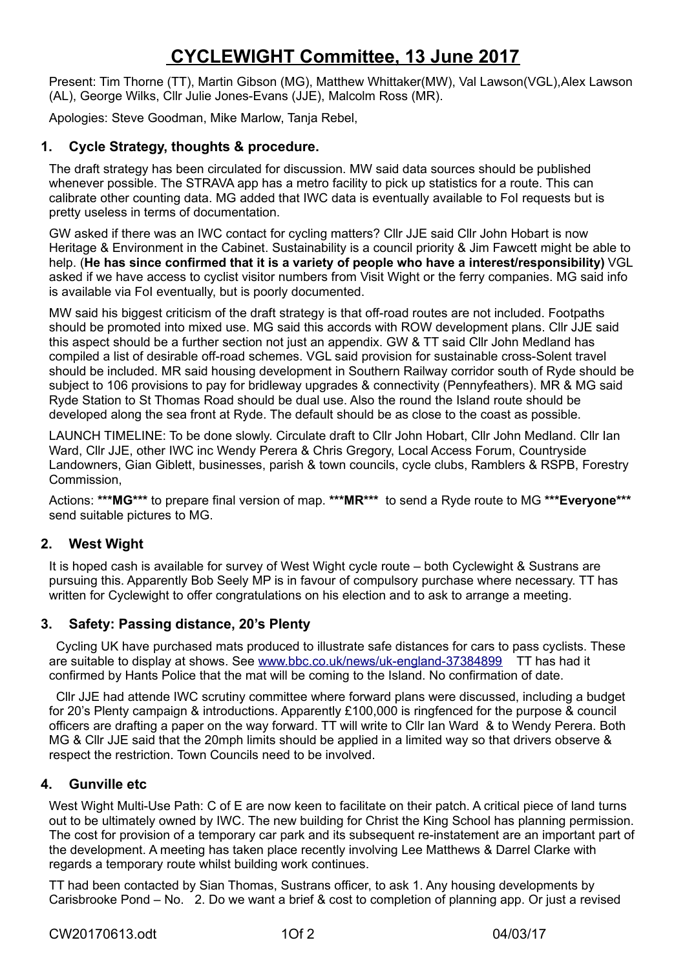# **CYCLEWIGHT Committee, 13 June 2017**

Present: Tim Thorne (TT), Martin Gibson (MG), Matthew Whittaker(MW), Val Lawson(VGL),Alex Lawson (AL), George Wilks, Cllr Julie Jones-Evans (JJE), Malcolm Ross (MR).

Apologies: Steve Goodman, Mike Marlow, Tanja Rebel,

# **1. Cycle Strategy, thoughts & procedure.**

The draft strategy has been circulated for discussion. MW said data sources should be published whenever possible. The STRAVA app has a metro facility to pick up statistics for a route. This can calibrate other counting data. MG added that IWC data is eventually available to FoI requests but is pretty useless in terms of documentation.

GW asked if there was an IWC contact for cycling matters? Cllr JJE said Cllr John Hobart is now Heritage & Environment in the Cabinet. Sustainability is a council priority & Jim Fawcett might be able to help. (**He has since confirmed that it is a variety of people who have a interest/responsibility)** VGL asked if we have access to cyclist visitor numbers from Visit Wight or the ferry companies. MG said info is available via FoI eventually, but is poorly documented.

MW said his biggest criticism of the draft strategy is that off-road routes are not included. Footpaths should be promoted into mixed use. MG said this accords with ROW development plans. Cllr JJE said this aspect should be a further section not just an appendix. GW & TT said Cllr John Medland has compiled a list of desirable off-road schemes. VGL said provision for sustainable cross-Solent travel should be included. MR said housing development in Southern Railway corridor south of Ryde should be subject to 106 provisions to pay for bridleway upgrades & connectivity (Pennyfeathers). MR & MG said Ryde Station to St Thomas Road should be dual use. Also the round the Island route should be developed along the sea front at Ryde. The default should be as close to the coast as possible.

LAUNCH TIMELINE: To be done slowly. Circulate draft to Cllr John Hobart, Cllr John Medland. Cllr Ian Ward, Cllr JJE, other IWC inc Wendy Perera & Chris Gregory, Local Access Forum, Countryside Landowners, Gian Giblett, businesses, parish & town councils, cycle clubs, Ramblers & RSPB, Forestry Commission,

Actions: **\*\*\*MG\*\*\*** to prepare final version of map. **\*\*\*MR\*\*\*** to send a Ryde route to MG **\*\*\*Everyone\*\*\***  send suitable pictures to MG.

# **2. West Wight**

It is hoped cash is available for survey of West Wight cycle route – both Cyclewight & Sustrans are pursuing this. Apparently Bob Seely MP is in favour of compulsory purchase where necessary. TT has written for Cyclewight to offer congratulations on his election and to ask to arrange a meeting.

# **3. Safety: Passing distance, 20's Plenty**

 Cycling UK have purchased mats produced to illustrate safe distances for cars to pass cyclists. These are suitable to display at shows. See [www.bbc.co.uk/news/uk-england-37384899](http://www.bbc.co.uk/news/uk-england37384899) TT has had it confirmed by Hants Police that the mat will be coming to the Island. No confirmation of date.

 Cllr JJE had attende IWC scrutiny committee where forward plans were discussed, including a budget for 20's Plenty campaign & introductions. Apparently £100,000 is ringfenced for the purpose & council officers are drafting a paper on the way forward. TT will write to Cllr Ian Ward & to Wendy Perera. Both MG & Cllr JJE said that the 20mph limits should be applied in a limited way so that drivers observe & respect the restriction. Town Councils need to be involved.

# **4. Gunville etc**

West Wight Multi-Use Path: C of E are now keen to facilitate on their patch. A critical piece of land turns out to be ultimately owned by IWC. The new building for Christ the King School has planning permission. The cost for provision of a temporary car park and its subsequent re-instatement are an important part of the development. A meeting has taken place recently involving Lee Matthews & Darrel Clarke with regards a temporary route whilst building work continues.

TT had been contacted by Sian Thomas, Sustrans officer, to ask 1. Any housing developments by Carisbrooke Pond – No. 2. Do we want a brief & cost to completion of planning app. Or just a revised